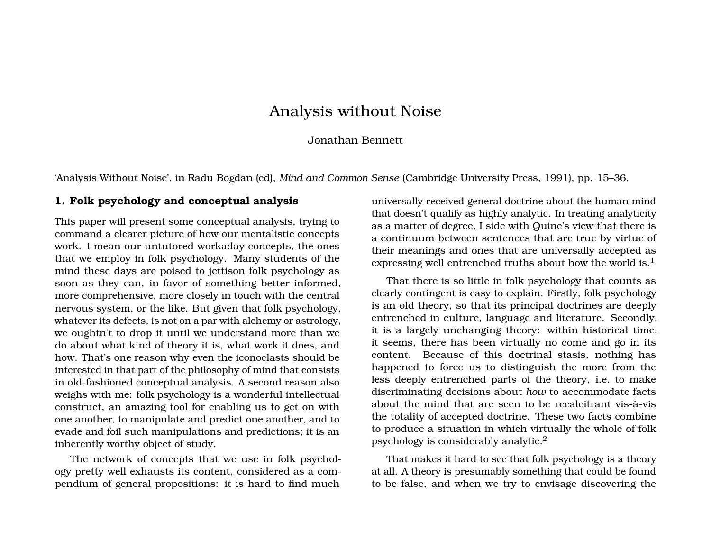# Analysis without Noise

## Jonathan Bennett

'Analysis Without Noise', in Radu Bogdan (ed), *Mind and Common Sense* (Cambridge University Press, 1991), pp. 15–36.

#### **1. Folk psychology and conceptual analysis**

This paper will present some conceptual analysis, trying to command a clearer picture of how our mentalistic concepts work. I mean our untutored workaday concepts, the ones that we employ in folk psychology. Many students of the mind these days are poised to jettison folk psychology as soon as they can, in favor of something better informed, more comprehensive, more closely in touch with the central nervous system, or the like. But given that folk psychology, whatever its defects, is not on a par with alchemy or astrology, we oughtn't to drop it until we understand more than we do about what kind of theory it is, what work it does, and how. That's one reason why even the iconoclasts should be interested in that part of the philosophy of mind that consists in old-fashioned conceptual analysis. A second reason also weighs with me: folk psychology is a wonderful intellectual construct, an amazing tool for enabling us to get on with one another, to manipulate and predict one another, and to evade and foil such manipulations and predictions; it is an inherently worthy object of study.

The network of concepts that we use in folk psychology pretty well exhausts its content, considered as a compendium of general propositions: it is hard to find much

universally received general doctrine about the human mind that doesn't qualify as highly analytic. In treating analyticity as a matter of degree, I side with Quine's view that there is a continuum between sentences that are true by virtue of their meanings and ones that are universally accepted as expressing well entrenched truths about how the world is.<sup>1</sup>

That there is so little in folk psychology that counts as clearly contingent is easy to explain. Firstly, folk psychology is an old theory, so that its principal doctrines are deeply entrenched in culture, language and literature. Secondly, it is a largely unchanging theory: within historical time, it seems, there has been virtually no come and go in its content. Because of this doctrinal stasis, nothing has happened to force us to distinguish the more from the less deeply entrenched parts of the theory, i.e. to make discriminating decisions about *how* to accommodate facts about the mind that are seen to be recalcitrant vis-à-vis the totality of accepted doctrine. These two facts combine to produce a situation in which virtually the whole of folk psychology is considerably analytic.<sup>2</sup>

That makes it hard to see that folk psychology is a theory at all. A theory is presumably something that could be found to be false, and when we try to envisage discovering the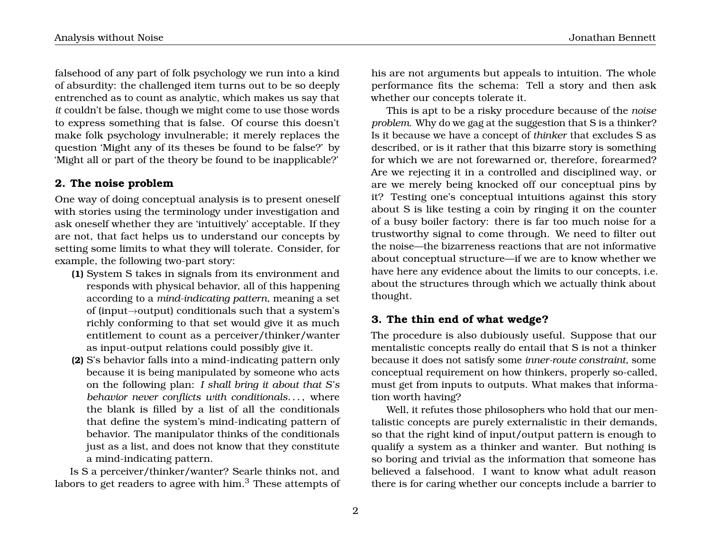falsehood of any part of folk psychology we run into a kind of absurdity: the challenged item turns out to be so deeply entrenched as to count as analytic, which makes us say that *it* couldn't be false, though we might come to use those words to express something that is false. Of course this doesn't make folk psychology invulnerable; it merely replaces the question 'Might any of its theses be found to be false?' by 'Might all or part of the theory be found to be inapplicable?'

## **2. The noise problem**

One way of doing conceptual analysis is to present oneself with stories using the terminology under investigation and ask oneself whether they are 'intuitively' acceptable. If they are not, that fact helps us to understand our concepts by setting some limits to what they will tolerate. Consider, for example, the following two-part story:

- **(1)** System S takes in signals from its environment and responds with physical behavior, all of this happening according to a *mind-indicating pattern*, meaning a set of (input→output) conditionals such that a system's richly conforming to that set would give it as much entitlement to count as a perceiver/thinker/wanter as input-output relations could possibly give it.
- **(2)** S's behavior falls into a mind-indicating pattern only because it is being manipulated by someone who acts on the following plan: *I shall bring it about that S's behavior never conflicts with conditionals. . .* , where the blank is filled by a list of all the conditionals that define the system's mind-indicating pattern of behavior. The manipulator thinks of the conditionals just as a list, and does not know that they constitute a mind-indicating pattern.

Is S a perceiver/thinker/wanter? Searle thinks not, and labors to get readers to agree with him.<sup>3</sup> These attempts of his are not arguments but appeals to intuition. The whole performance fits the schema: Tell a story and then ask whether our concepts tolerate it.

This is apt to be a risky procedure because of the *noise problem*. Why do we gag at the suggestion that S is a thinker? Is it because we have a concept of *thinker* that excludes S as described, or is it rather that this bizarre story is something for which we are not forewarned or, therefore, forearmed? Are we rejecting it in a controlled and disciplined way, or are we merely being knocked off our conceptual pins by it? Testing one's conceptual intuitions against this story about S is like testing a coin by ringing it on the counter of a busy boiler factory: there is far too much noise for a trustworthy signal to come through. We need to filter out the noise—the bizarreness reactions that are not informative about conceptual structure—if we are to know whether we have here any evidence about the limits to our concepts, i.e. about the structures through which we actually think about thought.

#### **3. The thin end of what wedge?**

The procedure is also dubiously useful. Suppose that our mentalistic concepts really do entail that S is not a thinker because it does not satisfy some *inner-route constraint*, some conceptual requirement on how thinkers, properly so-called, must get from inputs to outputs. What makes that information worth having?

Well, it refutes those philosophers who hold that our mentalistic concepts are purely externalistic in their demands, so that the right kind of input/output pattern is enough to qualify a system as a thinker and wanter. But nothing is so boring and trivial as the information that someone has believed a falsehood. I want to know what adult reason there is for caring whether our concepts include a barrier to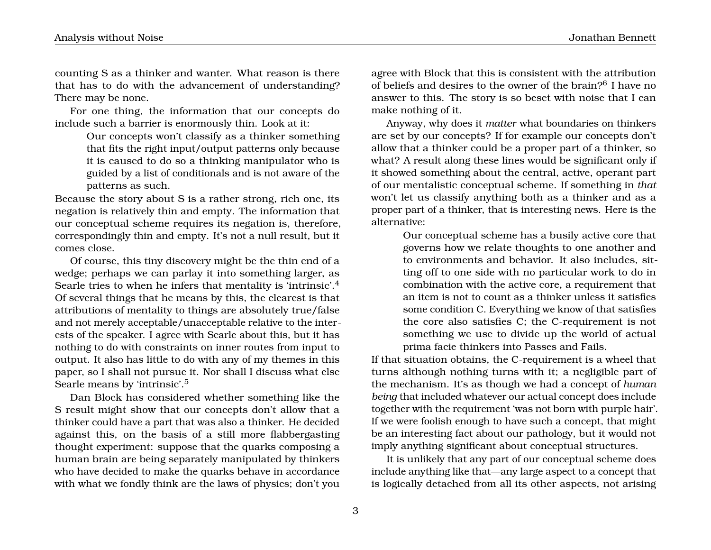counting S as a thinker and wanter. What reason is there that has to do with the advancement of understanding? There may be none.

For one thing, the information that our concepts do include such a barrier is enormously thin. Look at it:

> Our concepts won't classify as a thinker something that fits the right input/output patterns only because it is caused to do so a thinking manipulator who is guided by a list of conditionals and is not aware of the patterns as such.

Because the story about S is a rather strong, rich one, its negation is relatively thin and empty. The information that our conceptual scheme requires its negation is, therefore, correspondingly thin and empty. It's not a null result, but it comes close.

Of course, this tiny discovery might be the thin end of a wedge; perhaps we can parlay it into something larger, as Searle tries to when he infers that mentality is 'intrinsic'.<sup>4</sup> Of several things that he means by this, the clearest is that attributions of mentality to things are absolutely true/false and not merely acceptable/unacceptable relative to the interests of the speaker. I agree with Searle about this, but it has nothing to do with constraints on inner routes from input to output. It also has little to do with any of my themes in this paper, so I shall not pursue it. Nor shall I discuss what else Searle means by 'intrinsic'.<sup>5</sup>

Dan Block has considered whether something like the S result might show that our concepts don't allow that a thinker could have a part that was also a thinker. He decided against this, on the basis of a still more flabbergasting thought experiment: suppose that the quarks composing a human brain are being separately manipulated by thinkers who have decided to make the quarks behave in accordance with what we fondly think are the laws of physics; don't you

agree with Block that this is consistent with the attribution of beliefs and desires to the owner of the brain?<sup>6</sup> I have no answer to this. The story is so beset with noise that I can make nothing of it.

Anyway, why does it *matter* what boundaries on thinkers are set by our concepts? If for example our concepts don't allow that a thinker could be a proper part of a thinker, so what? A result along these lines would be significant only if it showed something about the central, active, operant part of our mentalistic conceptual scheme. If something in *that* won't let us classify anything both as a thinker and as a proper part of a thinker, that is interesting news. Here is the alternative:

> Our conceptual scheme has a busily active core that governs how we relate thoughts to one another and to environments and behavior. It also includes, sitting off to one side with no particular work to do in combination with the active core, a requirement that an item is not to count as a thinker unless it satisfies some condition C. Everything we know of that satisfies the core also satisfies C; the C-requirement is not something we use to divide up the world of actual prima facie thinkers into Passes and Fails.

If that situation obtains, the C-requirement is a wheel that turns although nothing turns with it; a negligible part of the mechanism. It's as though we had a concept of *human being* that included whatever our actual concept does include together with the requirement 'was not born with purple hair'. If we were foolish enough to have such a concept, that might be an interesting fact about our pathology, but it would not imply anything significant about conceptual structures.

It is unlikely that any part of our conceptual scheme does include anything like that—any large aspect to a concept that is logically detached from all its other aspects, not arising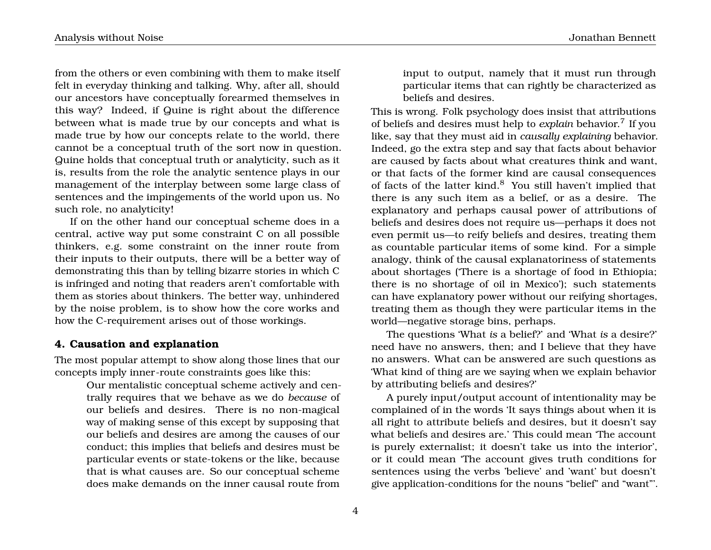from the others or even combining with them to make itself felt in everyday thinking and talking. Why, after all, should our ancestors have conceptually forearmed themselves in this way? Indeed, if Quine is right about the difference between what is made true by our concepts and what is made true by how our concepts relate to the world, there cannot be a conceptual truth of the sort now in question. Quine holds that conceptual truth or analyticity, such as it is, results from the role the analytic sentence plays in our management of the interplay between some large class of sentences and the impingements of the world upon us. No such role, no analyticity!

If on the other hand our conceptual scheme does in a central, active way put some constraint C on all possible thinkers, e.g. some constraint on the inner route from their inputs to their outputs, there will be a better way of demonstrating this than by telling bizarre stories in which C is infringed and noting that readers aren't comfortable with them as stories about thinkers. The better way, unhindered by the noise problem, is to show how the core works and how the C-requirement arises out of those workings.

#### **4. Causation and explanation**

The most popular attempt to show along those lines that our concepts imply inner-route constraints goes like this:

> Our mentalistic conceptual scheme actively and centrally requires that we behave as we do *because* of our beliefs and desires. There is no non-magical way of making sense of this except by supposing that our beliefs and desires are among the causes of our conduct; this implies that beliefs and desires must be particular events or state-tokens or the like, because that is what causes are. So our conceptual scheme does make demands on the inner causal route from

input to output, namely that it must run through particular items that can rightly be characterized as beliefs and desires.

This is wrong. Folk psychology does insist that attributions of beliefs and desires must help to *explain* behavior.<sup>7</sup> If you like, say that they must aid in *causally explaining* behavior. Indeed, go the extra step and say that facts about behavior are caused by facts about what creatures think and want, or that facts of the former kind are causal consequences of facts of the latter kind.<sup>8</sup> You still haven't implied that there is any such item as a belief, or as a desire. The explanatory and perhaps causal power of attributions of beliefs and desires does not require us—perhaps it does not even permit us—to reify beliefs and desires, treating them as countable particular items of some kind. For a simple analogy, think of the causal explanatoriness of statements about shortages ('There is a shortage of food in Ethiopia; there is no shortage of oil in Mexico'); such statements can have explanatory power without our reifying shortages, treating them as though they were particular items in the world—negative storage bins, perhaps.

The questions 'What *is* a belief?' and 'What *is* a desire?' need have no answers, then; and I believe that they have no answers. What can be answered are such questions as 'What kind of thing are we saying when we explain behavior by attributing beliefs and desires?'

A purely input/output account of intentionality may be complained of in the words 'It says things about when it is all right to attribute beliefs and desires, but it doesn't say what beliefs and desires are.' This could mean 'The account is purely externalist; it doesn't take us into the interior', or it could mean 'The account gives truth conditions for sentences using the verbs 'believe' and 'want' but doesn't give application-conditions for the nouns "belief" and "want"'.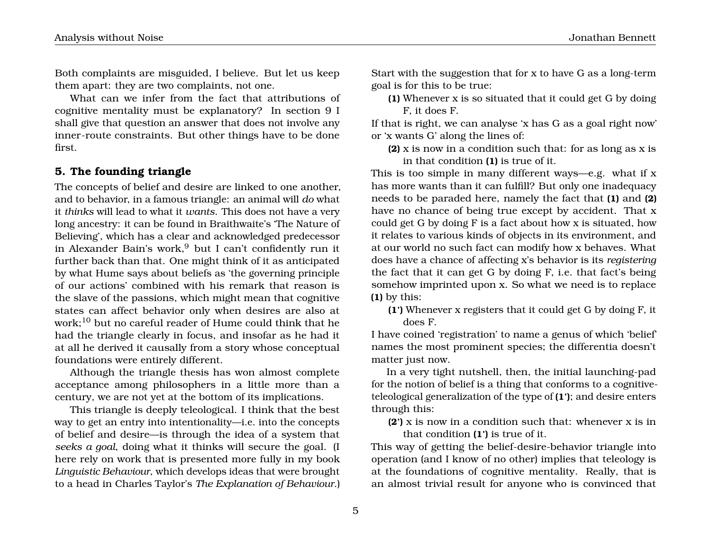Both complaints are misguided, I believe. But let us keep them apart: they are two complaints, not one.

What can we infer from the fact that attributions of cognitive mentality must be explanatory? In section 9 I shall give that question an answer that does not involve any inner-route constraints. But other things have to be done first.

#### **5. The founding triangle**

The concepts of belief and desire are linked to one another, and to behavior, in a famous triangle: an animal will *do* what it *thinks* will lead to what it *wants*. This does not have a very long ancestry: it can be found in Braithwaite's 'The Nature of Believing', which has a clear and acknowledged predecessor in Alexander Bain's work,  $9$  but I can't confidently run it further back than that. One might think of it as anticipated by what Hume says about beliefs as 'the governing principle of our actions' combined with his remark that reason is the slave of the passions, which might mean that cognitive states can affect behavior only when desires are also at work;<sup>10</sup> but no careful reader of Hume could think that he had the triangle clearly in focus, and insofar as he had it at all he derived it causally from a story whose conceptual foundations were entirely different.

Although the triangle thesis has won almost complete acceptance among philosophers in a little more than a century, we are not yet at the bottom of its implications.

This triangle is deeply teleological. I think that the best way to get an entry into intentionality—i.e. into the concepts of belief and desire—is through the idea of a system that *seeks a goal*, doing what it thinks will secure the goal. (I here rely on work that is presented more fully in my book *Linguistic Behaviour*, which develops ideas that were brought to a head in Charles Taylor's *The Explanation of Behaviour*.) Start with the suggestion that for x to have G as a long-term goal is for this to be true:

**(1)** Whenever x is so situated that it could get G by doing F, it does F.

If that is right, we can analyse 'x has G as a goal right now' or 'x wants G' along the lines of:

**(2)** x is now in a condition such that: for as long as x is in that condition **(1)** is true of it.

This is too simple in many different ways—e.g. what if  $x$ has more wants than it can fulfill? But only one inadequacy needs to be paraded here, namely the fact that **(1)** and **(2)** have no chance of being true except by accident. That x could get G by doing F is a fact about how x is situated, how it relates to various kinds of objects in its environment, and at our world no such fact can modify how x behaves. What does have a chance of affecting x's behavior is its *registering* the fact that it can get G by doing F, i.e. that fact's being somehow imprinted upon x. So what we need is to replace **(1)** by this:

**(1')** Whenever x registers that it could get G by doing F, it does F.

I have coined 'registration' to name a genus of which 'belief' names the most prominent species; the differentia doesn't matter just now.

In a very tight nutshell, then, the initial launching-pad for the notion of belief is a thing that conforms to a cognitiveteleological generalization of the type of **(1')**; and desire enters through this:

**(2')** x is now in a condition such that: whenever x is in that condition **(1')** is true of it.

This way of getting the belief-desire-behavior triangle into operation (and I know of no other) implies that teleology is at the foundations of cognitive mentality. Really, that is an almost trivial result for anyone who is convinced that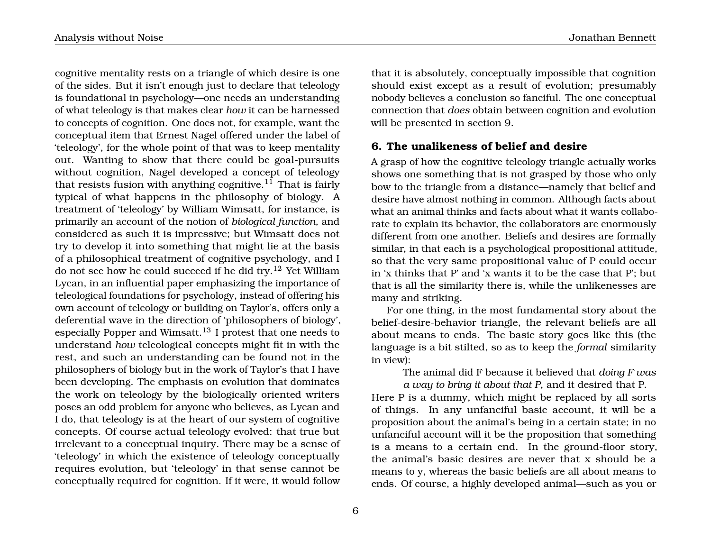cognitive mentality rests on a triangle of which desire is one of the sides. But it isn't enough just to declare that teleology is foundational in psychology—one needs an understanding of what teleology is that makes clear *how* it can be harnessed to concepts of cognition. One does not, for example, want the conceptual item that Ernest Nagel offered under the label of 'teleology', for the whole point of that was to keep mentality out. Wanting to show that there could be goal-pursuits without cognition, Nagel developed a concept of teleology that resists fusion with anything cognitive.<sup>11</sup> That is fairly typical of what happens in the philosophy of biology. A treatment of 'teleology' by William Wimsatt, for instance, is primarily an account of the notion of *biological function*, and considered as such it is impressive; but Wimsatt does not try to develop it into something that might lie at the basis of a philosophical treatment of cognitive psychology, and I do not see how he could succeed if he did try.<sup>12</sup> Yet William Lycan, in an influential paper emphasizing the importance of teleological foundations for psychology, instead of offering his own account of teleology or building on Taylor's, offers only a deferential wave in the direction of 'philosophers of biology', especially Popper and Wimsatt.<sup>13</sup> I protest that one needs to understand *how* teleological concepts might fit in with the rest, and such an understanding can be found not in the philosophers of biology but in the work of Taylor's that I have been developing. The emphasis on evolution that dominates the work on teleology by the biologically oriented writers poses an odd problem for anyone who believes, as Lycan and I do, that teleology is at the heart of our system of cognitive concepts. Of course actual teleology evolved: that true but irrelevant to a conceptual inquiry. There may be a sense of 'teleology' in which the existence of teleology conceptually requires evolution, but 'teleology' in that sense cannot be conceptually required for cognition. If it were, it would follow

that it is absolutely, conceptually impossible that cognition should exist except as a result of evolution; presumably nobody believes a conclusion so fanciful. The one conceptual connection that *does* obtain between cognition and evolution will be presented in section 9.

## **6. The unalikeness of belief and desire**

A grasp of how the cognitive teleology triangle actually works shows one something that is not grasped by those who only bow to the triangle from a distance—namely that belief and desire have almost nothing in common. Although facts about what an animal thinks and facts about what it wants collaborate to explain its behavior, the collaborators are enormously different from one another. Beliefs and desires are formally similar, in that each is a psychological propositional attitude, so that the very same propositional value of P could occur in 'x thinks that P' and 'x wants it to be the case that P'; but that is all the similarity there is, while the unlikenesses are many and striking.

For one thing, in the most fundamental story about the belief-desire-behavior triangle, the relevant beliefs are all about means to ends. The basic story goes like this (the language is a bit stilted, so as to keep the *formal* similarity in view):

> The animal did F because it believed that *doing F was a way to bring it about that P*, and it desired that P.

Here P is a dummy, which might be replaced by all sorts of things. In any unfanciful basic account, it will be a proposition about the animal's being in a certain state; in no unfanciful account will it be the proposition that something is a means to a certain end. In the ground-floor story, the animal's basic desires are never that x should be a means to y, whereas the basic beliefs are all about means to ends. Of course, a highly developed animal—such as you or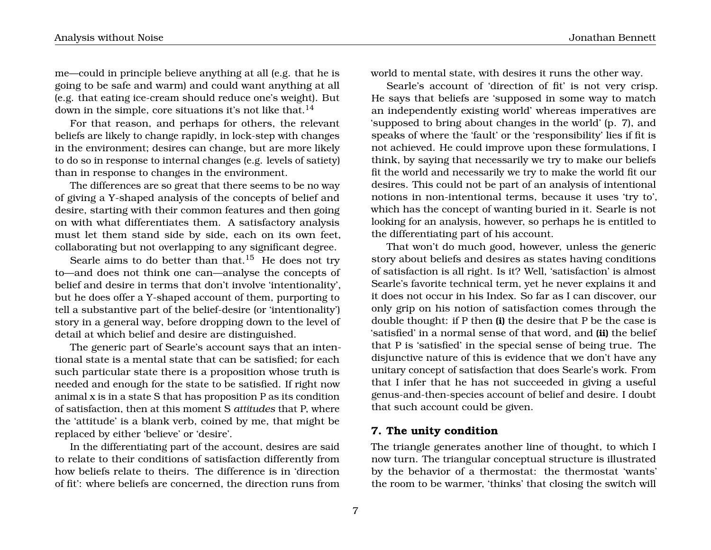The triangle generates another line of thought, to which I now turn. The triangular conceptual structure is illustrated by the behavior of a thermostat: the thermostat 'wants' the room to be warmer, 'thinks' that closing the switch will

me—could in principle believe anything at all (e.g. that he is going to be safe and warm) and could want anything at all (e.g. that eating ice-cream should reduce one's weight). But down in the simple, core situations it's not like that.<sup>14</sup>

For that reason, and perhaps for others, the relevant beliefs are likely to change rapidly, in lock-step with changes in the environment; desires can change, but are more likely to do so in response to internal changes (e.g. levels of satiety) than in response to changes in the environment.

The differences are so great that there seems to be no way of giving a Y-shaped analysis of the concepts of belief and desire, starting with their common features and then going on with what differentiates them. A satisfactory analysis must let them stand side by side, each on its own feet, collaborating but not overlapping to any significant degree.

Searle aims to do better than that.<sup>15</sup> He does not try to—and does not think one can—analyse the concepts of belief and desire in terms that don't involve 'intentionality', but he does offer a Y-shaped account of them, purporting to tell a substantive part of the belief-desire (or 'intentionality') story in a general way, before dropping down to the level of detail at which belief and desire are distinguished.

The generic part of Searle's account says that an intentional state is a mental state that can be satisfied; for each such particular state there is a proposition whose truth is needed and enough for the state to be satisfied. If right now animal x is in a state S that has proposition P as its condition of satisfaction, then at this moment S *attitudes* that P, where the 'attitude' is a blank verb, coined by me, that might be replaced by either 'believe' or 'desire'.

In the differentiating part of the account, desires are said to relate to their conditions of satisfaction differently from how beliefs relate to theirs. The difference is in 'direction of fit': where beliefs are concerned, the direction runs from

world to mental state, with desires it runs the other way.

Searle's account of 'direction of fit' is not very crisp. He says that beliefs are 'supposed in some way to match an independently existing world' whereas imperatives are 'supposed to bring about changes in the world' (p. 7), and speaks of where the 'fault' or the 'responsibility' lies if fit is not achieved. He could improve upon these formulations, I think, by saying that necessarily we try to make our beliefs fit the world and necessarily we try to make the world fit our desires. This could not be part of an analysis of intentional notions in non-intentional terms, because it uses 'try to', which has the concept of wanting buried in it. Searle is not looking for an analysis, however, so perhaps he is entitled to the differentiating part of his account.

That won't do much good, however, unless the generic story about beliefs and desires as states having conditions of satisfaction is all right. Is it? Well, 'satisfaction' is almost Searle's favorite technical term, yet he never explains it and it does not occur in his Index. So far as I can discover, our only grip on his notion of satisfaction comes through the double thought: if P then **(i)** the desire that P be the case is 'satisfied' in a normal sense of that word, and **(ii)** the belief that P is 'satisfied' in the special sense of being true. The disjunctive nature of this is evidence that we don't have any unitary concept of satisfaction that does Searle's work. From that I infer that he has not succeeded in giving a useful genus-and-then-species account of belief and desire. I doubt that such account could be given.

## **7. The unity condition**

7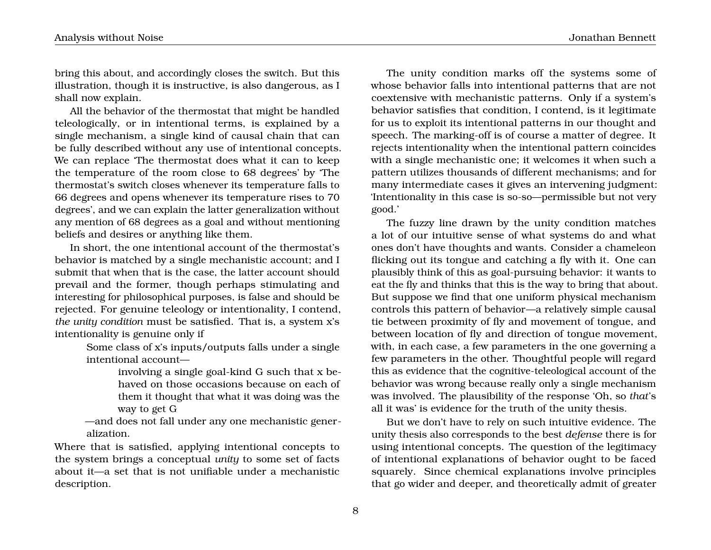bring this about, and accordingly closes the switch. But this illustration, though it is instructive, is also dangerous, as I shall now explain.

All the behavior of the thermostat that might be handled teleologically, or in intentional terms, is explained by a single mechanism, a single kind of causal chain that can be fully described without any use of intentional concepts. We can replace 'The thermostat does what it can to keep the temperature of the room close to 68 degrees' by 'The thermostat's switch closes whenever its temperature falls to 66 degrees and opens whenever its temperature rises to 70 degrees', and we can explain the latter generalization without any mention of 68 degrees as a goal and without mentioning beliefs and desires or anything like them.

In short, the one intentional account of the thermostat's behavior is matched by a single mechanistic account; and I submit that when that is the case, the latter account should prevail and the former, though perhaps stimulating and interesting for philosophical purposes, is false and should be rejected. For genuine teleology or intentionality, I contend, *the unity condition* must be satisfied. That is, a system x's intentionality is genuine only if

> Some class of x's inputs/outputs falls under a single intentional account—

> > involving a single goal-kind G such that x behaved on those occasions because on each of them it thought that what it was doing was the way to get G

—and does not fall under any one mechanistic generalization.

Where that is satisfied, applying intentional concepts to the system brings a conceptual *unity* to some set of facts about it—a set that is not unifiable under a mechanistic description.

The unity condition marks off the systems some of whose behavior falls into intentional patterns that are not coextensive with mechanistic patterns. Only if a system's behavior satisfies that condition, I contend, is it legitimate for us to exploit its intentional patterns in our thought and speech. The marking-off is of course a matter of degree. It rejects intentionality when the intentional pattern coincides with a single mechanistic one; it welcomes it when such a pattern utilizes thousands of different mechanisms; and for many intermediate cases it gives an intervening judgment: 'Intentionality in this case is so-so—permissible but not very good.'

The fuzzy line drawn by the unity condition matches a lot of our intuitive sense of what systems do and what ones don't have thoughts and wants. Consider a chameleon flicking out its tongue and catching a fly with it. One can plausibly think of this as goal-pursuing behavior: it wants to eat the fly and thinks that this is the way to bring that about. But suppose we find that one uniform physical mechanism controls this pattern of behavior—a relatively simple causal tie between proximity of fly and movement of tongue, and between location of fly and direction of tongue movement, with, in each case, a few parameters in the one governing a few parameters in the other. Thoughtful people will regard this as evidence that the cognitive-teleological account of the behavior was wrong because really only a single mechanism was involved. The plausibility of the response 'Oh, so *that*'s all it was' is evidence for the truth of the unity thesis.

But we don't have to rely on such intuitive evidence. The unity thesis also corresponds to the best *defense* there is for using intentional concepts. The question of the legitimacy of intentional explanations of behavior ought to be faced squarely. Since chemical explanations involve principles that go wider and deeper, and theoretically admit of greater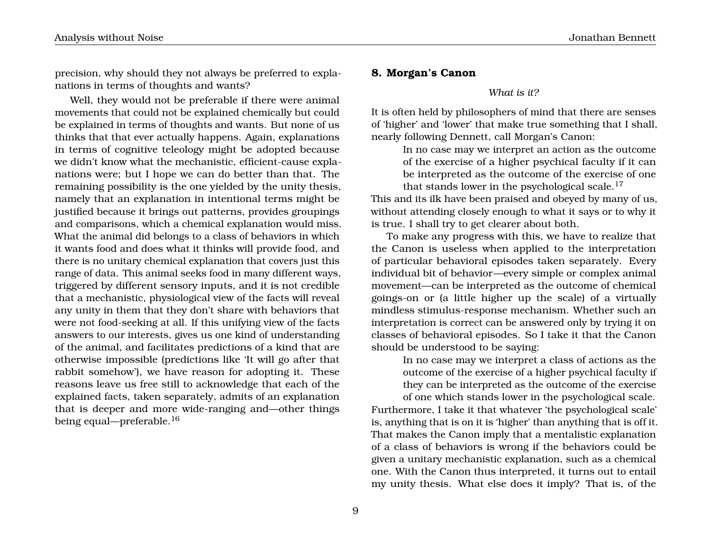9

precision, why should they not always be preferred to explanations in terms of thoughts and wants?

Well, they would not be preferable if there were animal movements that could not be explained chemically but could be explained in terms of thoughts and wants. But none of us thinks that that ever actually happens. Again, explanations in terms of cognitive teleology might be adopted because we didn't know what the mechanistic, efficient-cause explanations were; but I hope we can do better than that. The remaining possibility is the one yielded by the unity thesis, namely that an explanation in intentional terms might be justified because it brings out patterns, provides groupings and comparisons, which a chemical explanation would miss. What the animal did belongs to a class of behaviors in which it wants food and does what it thinks will provide food, and there is no unitary chemical explanation that covers just this range of data. This animal seeks food in many different ways, triggered by different sensory inputs, and it is not credible that a mechanistic, physiological view of the facts will reveal any unity in them that they don't share with behaviors that were not food-seeking at all. If this unifying view of the facts answers to our interests, gives us one kind of understanding of the animal, and facilitates predictions of a kind that are otherwise impossible (predictions like 'It will go after that rabbit somehow'), we have reason for adopting it. These reasons leave us free still to acknowledge that each of the explained facts, taken separately, admits of an explanation that is deeper and more wide-ranging and—other things being equal—preferable.<sup>16</sup>

#### **8. Morgan's Canon**

*What is it?*

It is often held by philosophers of mind that there are senses of 'higher' and 'lower' that make true something that I shall, nearly following Dennett, call Morgan's Canon:

> In no case may we interpret an action as the outcome of the exercise of a higher psychical faculty if it can be interpreted as the outcome of the exercise of one that stands lower in the psychological scale. $^{17}$

This and its ilk have been praised and obeyed by many of us, without attending closely enough to what it says or to why it is true. I shall try to get clearer about both.

To make any progress with this, we have to realize that the Canon is useless when applied to the interpretation of particular behavioral episodes taken separately. Every individual bit of behavior—every simple or complex animal movement—can be interpreted as the outcome of chemical goings-on or (a little higher up the scale) of a virtually mindless stimulus-response mechanism. Whether such an interpretation is correct can be answered only by trying it on classes of behavioral episodes. So I take it that the Canon should be understood to be saying:

> In no case may we interpret a class of actions as the outcome of the exercise of a higher psychical faculty if they can be interpreted as the outcome of the exercise of one which stands lower in the psychological scale.

Furthermore, I take it that whatever 'the psychological scale' is, anything that is on it is 'higher' than anything that is off it. That makes the Canon imply that a mentalistic explanation of a class of behaviors is wrong if the behaviors could be given a unitary mechanistic explanation, such as a chemical one. With the Canon thus interpreted, it turns out to entail my unity thesis. What else does it imply? That is, of the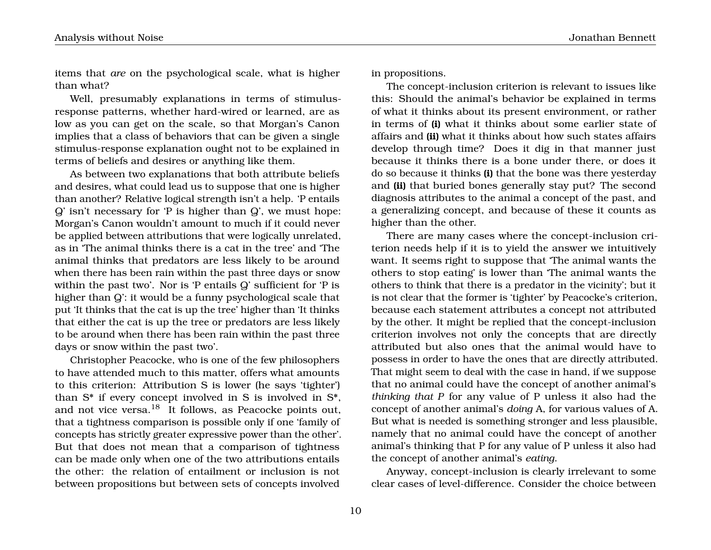10

items that *are* on the psychological scale, what is higher than what?

Well, presumably explanations in terms of stimulusresponse patterns, whether hard-wired or learned, are as low as you can get on the scale, so that Morgan's Canon implies that a class of behaviors that can be given a single stimulus-response explanation ought not to be explained in terms of beliefs and desires or anything like them.

As between two explanations that both attribute beliefs and desires, what could lead us to suppose that one is higher than another? Relative logical strength isn't a help. 'P entails Q' isn't necessary for 'P is higher than Q', we must hope: Morgan's Canon wouldn't amount to much if it could never be applied between attributions that were logically unrelated, as in 'The animal thinks there is a cat in the tree' and 'The animal thinks that predators are less likely to be around when there has been rain within the past three days or snow within the past two'. Nor is 'P entails Q' sufficient for 'P is higher than Q': it would be a funny psychological scale that put 'It thinks that the cat is up the tree' higher than 'It thinks that either the cat is up the tree or predators are less likely to be around when there has been rain within the past three days or snow within the past two'.

Christopher Peacocke, who is one of the few philosophers to have attended much to this matter, offers what amounts to this criterion: Attribution S is lower (he says 'tighter') than S\* if every concept involved in S is involved in S\*, and not vice versa. $18$  It follows, as Peacocke points out, that a tightness comparison is possible only if one 'family of concepts has strictly greater expressive power than the other'. But that does not mean that a comparison of tightness can be made only when one of the two attributions entails the other: the relation of entailment or inclusion is not between propositions but between sets of concepts involved

in propositions.

The concept-inclusion criterion is relevant to issues like this: Should the animal's behavior be explained in terms of what it thinks about its present environment, or rather in terms of **(i)** what it thinks about some earlier state of affairs and **(ii)** what it thinks about how such states affairs develop through time? Does it dig in that manner just because it thinks there is a bone under there, or does it do so because it thinks **(i)** that the bone was there yesterday and **(ii)** that buried bones generally stay put? The second diagnosis attributes to the animal a concept of the past, and a generalizing concept, and because of these it counts as higher than the other.

There are many cases where the concept-inclusion criterion needs help if it is to yield the answer we intuitively want. It seems right to suppose that 'The animal wants the others to stop eating' is lower than 'The animal wants the others to think that there is a predator in the vicinity'; but it is not clear that the former is 'tighter' by Peacocke's criterion, because each statement attributes a concept not attributed by the other. It might be replied that the concept-inclusion criterion involves not only the concepts that are directly attributed but also ones that the animal would have to possess in order to have the ones that are directly attributed. That might seem to deal with the case in hand, if we suppose that no animal could have the concept of another animal's *thinking that P* for any value of P unless it also had the concept of another animal's *doing* A, for various values of A. But what is needed is something stronger and less plausible, namely that no animal could have the concept of another animal's thinking that P for any value of P unless it also had the concept of another animal's *eating*.

Anyway, concept-inclusion is clearly irrelevant to some clear cases of level-difference. Consider the choice between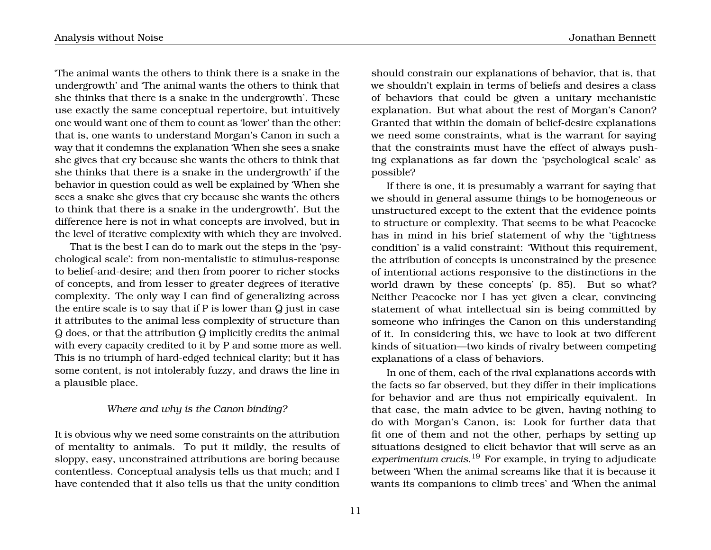'The animal wants the others to think there is a snake in the undergrowth' and 'The animal wants the others to think that she thinks that there is a snake in the undergrowth'. These use exactly the same conceptual repertoire, but intuitively one would want one of them to count as 'lower' than the other: that is, one wants to understand Morgan's Canon in such a way that it condemns the explanation 'When she sees a snake she gives that cry because she wants the others to think that she thinks that there is a snake in the undergrowth' if the behavior in question could as well be explained by 'When she sees a snake she gives that cry because she wants the others to think that there is a snake in the undergrowth'. But the difference here is not in what concepts are involved, but in the level of iterative complexity with which they are involved.

That is the best I can do to mark out the steps in the 'psychological scale': from non-mentalistic to stimulus-response to belief-and-desire; and then from poorer to richer stocks of concepts, and from lesser to greater degrees of iterative complexity. The only way I can find of generalizing across the entire scale is to say that if P is lower than Q just in case it attributes to the animal less complexity of structure than Q does, or that the attribution Q implicitly credits the animal with every capacity credited to it by P and some more as well. This is no triumph of hard-edged technical clarity; but it has some content, is not intolerably fuzzy, and draws the line in a plausible place.

#### *Where and why is the Canon binding?*

It is obvious why we need some constraints on the attribution of mentality to animals. To put it mildly, the results of sloppy, easy, unconstrained attributions are boring because contentless. Conceptual analysis tells us that much; and I have contended that it also tells us that the unity condition

should constrain our explanations of behavior, that is, that we shouldn't explain in terms of beliefs and desires a class of behaviors that could be given a unitary mechanistic explanation. But what about the rest of Morgan's Canon? Granted that within the domain of belief-desire explanations we need some constraints, what is the warrant for saying that the constraints must have the effect of always pushing explanations as far down the 'psychological scale' as possible?

If there is one, it is presumably a warrant for saying that we should in general assume things to be homogeneous or unstructured except to the extent that the evidence points to structure or complexity. That seems to be what Peacocke has in mind in his brief statement of why the 'tightness condition' is a valid constraint: 'Without this requirement, the attribution of concepts is unconstrained by the presence of intentional actions responsive to the distinctions in the world drawn by these concepts' (p. 85). But so what? Neither Peacocke nor I has yet given a clear, convincing statement of what intellectual sin is being committed by someone who infringes the Canon on this understanding of it. In considering this, we have to look at two different kinds of situation—two kinds of rivalry between competing explanations of a class of behaviors.

In one of them, each of the rival explanations accords with the facts so far observed, but they differ in their implications for behavior and are thus not empirically equivalent. In that case, the main advice to be given, having nothing to do with Morgan's Canon, is: Look for further data that fit one of them and not the other, perhaps by setting up situations designed to elicit behavior that will serve as an *experimentum crucis*. <sup>19</sup> For example, in trying to adjudicate between 'When the animal screams like that it is because it wants its companions to climb trees' and 'When the animal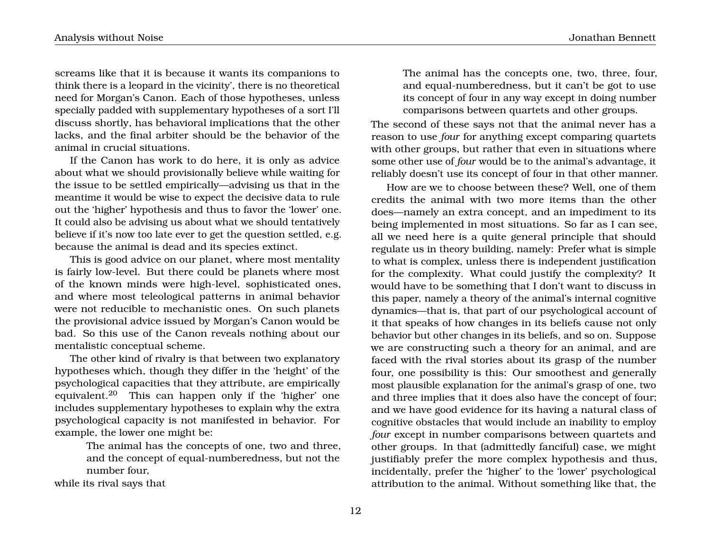screams like that it is because it wants its companions to think there is a leopard in the vicinity', there is no theoretical need for Morgan's Canon. Each of those hypotheses, unless specially padded with supplementary hypotheses of a sort I'll discuss shortly, has behavioral implications that the other lacks, and the final arbiter should be the behavior of the animal in crucial situations.

If the Canon has work to do here, it is only as advice about what we should provisionally believe while waiting for the issue to be settled empirically—advising us that in the meantime it would be wise to expect the decisive data to rule out the 'higher' hypothesis and thus to favor the 'lower' one. It could also be advising us about what we should tentatively believe if it's now too late ever to get the question settled, e.g. because the animal is dead and its species extinct.

This is good advice on our planet, where most mentality is fairly low-level. But there could be planets where most of the known minds were high-level, sophisticated ones, and where most teleological patterns in animal behavior were not reducible to mechanistic ones. On such planets the provisional advice issued by Morgan's Canon would be bad. So this use of the Canon reveals nothing about our mentalistic conceptual scheme.

The other kind of rivalry is that between two explanatory hypotheses which, though they differ in the 'height' of the psychological capacities that they attribute, are empirically equivalent.<sup>20</sup> This can happen only if the 'higher' one includes supplementary hypotheses to explain why the extra psychological capacity is not manifested in behavior. For example, the lower one might be:

> The animal has the concepts of one, two and three, and the concept of equal-numberedness, but not the number four,

while its rival says that

The animal has the concepts one, two, three, four, and equal-numberedness, but it can't be got to use its concept of four in any way except in doing number comparisons between quartets and other groups.

The second of these says not that the animal never has a reason to use *four* for anything except comparing quartets with other groups, but rather that even in situations where some other use of *four* would be to the animal's advantage, it reliably doesn't use its concept of four in that other manner.

How are we to choose between these? Well, one of them credits the animal with two more items than the other does—namely an extra concept, and an impediment to its being implemented in most situations. So far as I can see, all we need here is a quite general principle that should regulate us in theory building, namely: Prefer what is simple to what is complex, unless there is independent justification for the complexity. What could justify the complexity? It would have to be something that I don't want to discuss in this paper, namely a theory of the animal's internal cognitive dynamics—that is, that part of our psychological account of it that speaks of how changes in its beliefs cause not only behavior but other changes in its beliefs, and so on. Suppose we are constructing such a theory for an animal, and are faced with the rival stories about its grasp of the number four, one possibility is this: Our smoothest and generally most plausible explanation for the animal's grasp of one, two and three implies that it does also have the concept of four; and we have good evidence for its having a natural class of cognitive obstacles that would include an inability to employ *four* except in number comparisons between quartets and other groups. In that (admittedly fanciful) case, we might justifiably prefer the more complex hypothesis and thus, incidentally, prefer the 'higher' to the 'lower' psychological attribution to the animal. Without something like that, the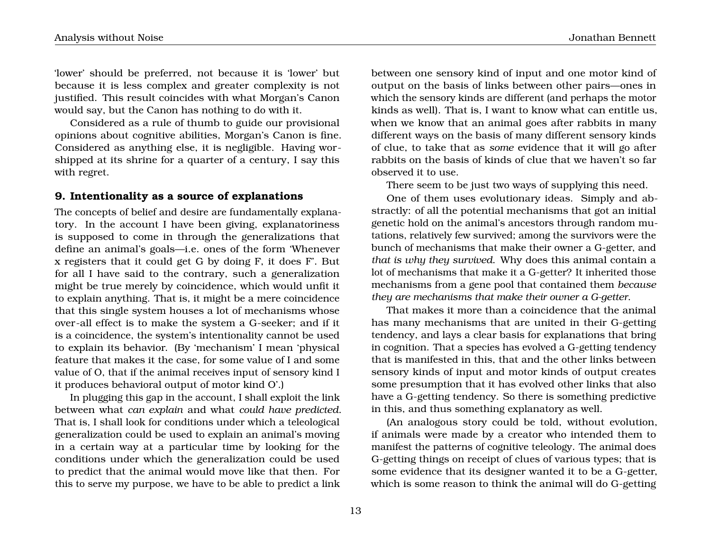'lower' should be preferred, not because it is 'lower' but because it is less complex and greater complexity is not justified. This result coincides with what Morgan's Canon would say, but the Canon has nothing to do with it.

Considered as a rule of thumb to guide our provisional opinions about cognitive abilities, Morgan's Canon is fine. Considered as anything else, it is negligible. Having worshipped at its shrine for a quarter of a century, I say this with regret.

#### **9. Intentionality as a source of explanations**

The concepts of belief and desire are fundamentally explanatory. In the account I have been giving, explanatoriness is supposed to come in through the generalizations that define an animal's goals—i.e. ones of the form 'Whenever x registers that it could get G by doing F, it does F'. But for all I have said to the contrary, such a generalization might be true merely by coincidence, which would unfit it to explain anything. That is, it might be a mere coincidence that this single system houses a lot of mechanisms whose over-all effect is to make the system a G-seeker; and if it is a coincidence, the system's intentionality cannot be used to explain its behavior. (By 'mechanism' I mean 'physical feature that makes it the case, for some value of I and some value of O, that if the animal receives input of sensory kind I it produces behavioral output of motor kind O'.)

In plugging this gap in the account, I shall exploit the link between what *can explain* and what *could have predicted*. That is, I shall look for conditions under which a teleological generalization could be used to explain an animal's moving in a certain way at a particular time by looking for the conditions under which the generalization could be used to predict that the animal would move like that then. For this to serve my purpose, we have to be able to predict a link between one sensory kind of input and one motor kind of output on the basis of links between other pairs—ones in which the sensory kinds are different (and perhaps the motor kinds as well). That is, I want to know what can entitle us, when we know that an animal goes after rabbits in many different ways on the basis of many different sensory kinds of clue, to take that as *some* evidence that it will go after rabbits on the basis of kinds of clue that we haven't so far observed it to use.

There seem to be just two ways of supplying this need.

One of them uses evolutionary ideas. Simply and abstractly: of all the potential mechanisms that got an initial genetic hold on the animal's ancestors through random mutations, relatively few survived; among the survivors were the bunch of mechanisms that make their owner a G-getter, and *that is why they survived*. Why does this animal contain a lot of mechanisms that make it a G-getter? It inherited those mechanisms from a gene pool that contained them *because they are mechanisms that make their owner a G-getter*.

That makes it more than a coincidence that the animal has many mechanisms that are united in their G-getting tendency, and lays a clear basis for explanations that bring in cognition. That a species has evolved a G-getting tendency that is manifested in this, that and the other links between sensory kinds of input and motor kinds of output creates some presumption that it has evolved other links that also have a G-getting tendency. So there is something predictive in this, and thus something explanatory as well.

(An analogous story could be told, without evolution, if animals were made by a creator who intended them to manifest the patterns of cognitive teleology. The animal does G-getting things on receipt of clues of various types; that is some evidence that its designer wanted it to be a G-getter, which is some reason to think the animal will do G-getting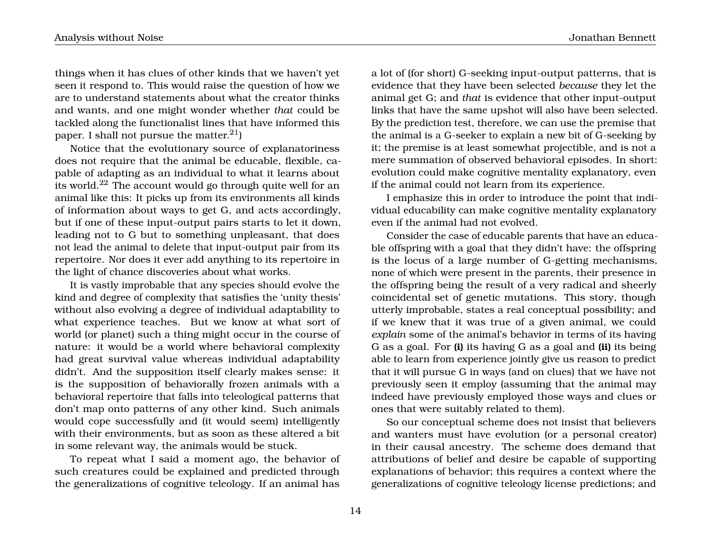things when it has clues of other kinds that we haven't yet seen it respond to. This would raise the question of how we are to understand statements about what the creator thinks and wants, and one might wonder whether *that* could be tackled along the functionalist lines that have informed this paper. I shall not pursue the matter.<sup>21</sup>)

Notice that the evolutionary source of explanatoriness does not require that the animal be educable, flexible, capable of adapting as an individual to what it learns about its world.<sup>22</sup> The account would go through quite well for an animal like this: It picks up from its environments all kinds of information about ways to get G, and acts accordingly, but if one of these input-output pairs starts to let it down, leading not to G but to something unpleasant, that does not lead the animal to delete that input-output pair from its repertoire. Nor does it ever add anything to its repertoire in the light of chance discoveries about what works.

It is vastly improbable that any species should evolve the kind and degree of complexity that satisfies the 'unity thesis' without also evolving a degree of individual adaptability to what experience teaches. But we know at what sort of world (or planet) such a thing might occur in the course of nature: it would be a world where behavioral complexity had great survival value whereas individual adaptability didn't. And the supposition itself clearly makes sense: it is the supposition of behaviorally frozen animals with a behavioral repertoire that falls into teleological patterns that don't map onto patterns of any other kind. Such animals would cope successfully and (it would seem) intelligently with their environments, but as soon as these altered a bit in some relevant way, the animals would be stuck.

To repeat what I said a moment ago, the behavior of such creatures could be explained and predicted through the generalizations of cognitive teleology. If an animal has

a lot of (for short) G-seeking input-output patterns, that is evidence that they have been selected *because* they let the animal get G; and *that* is evidence that other input-output links that have the same upshot will also have been selected. By the prediction test, therefore, we can use the premise that the animal is a G-seeker to explain a new bit of G-seeking by it; the premise is at least somewhat projectible, and is not a mere summation of observed behavioral episodes. In short: evolution could make cognitive mentality explanatory, even if the animal could not learn from its experience.

I emphasize this in order to introduce the point that individual educability can make cognitive mentality explanatory even if the animal had not evolved.

Consider the case of educable parents that have an educable offspring with a goal that they didn't have: the offspring is the locus of a large number of G-getting mechanisms, none of which were present in the parents, their presence in the offspring being the result of a very radical and sheerly coincidental set of genetic mutations. This story, though utterly improbable, states a real conceptual possibility; and if we knew that it was true of a given animal, we could *explain* some of the animal's behavior in terms of its having G as a goal. For **(i)** its having G as a goal and **(ii)** its being able to learn from experience jointly give us reason to predict that it will pursue G in ways (and on clues) that we have not previously seen it employ (assuming that the animal may indeed have previously employed those ways and clues or ones that were suitably related to them).

So our conceptual scheme does not insist that believers and wanters must have evolution (or a personal creator) in their causal ancestry. The scheme does demand that attributions of belief and desire be capable of supporting explanations of behavior; this requires a context where the generalizations of cognitive teleology license predictions; and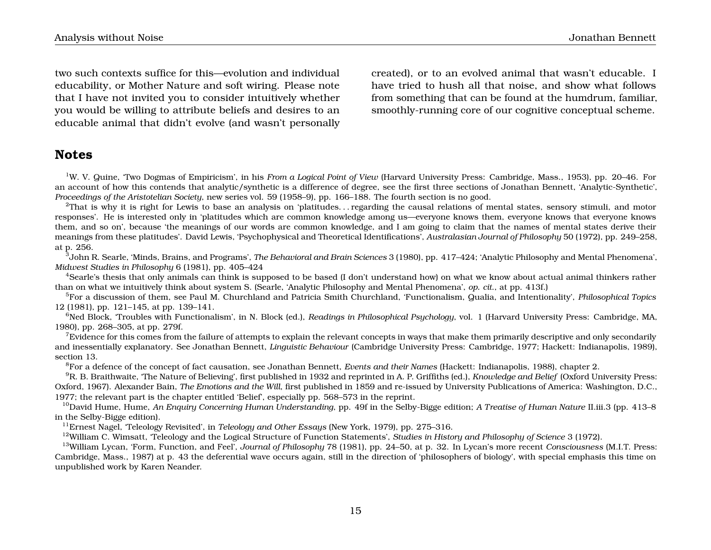two such contexts suffice for this—evolution and individual educability, or Mother Nature and soft wiring. Please note that I have not invited you to consider intuitively whether you would be willing to attribute beliefs and desires to an educable animal that didn't evolve (and wasn't personally

created), or to an evolved animal that wasn't educable. I have tried to hush all that noise, and show what follows from something that can be found at the humdrum, familiar, smoothly-running core of our cognitive conceptual scheme.

# **Notes**

<sup>1</sup>W. V. Quine, 'Two Dogmas of Empiricism', in his *From a Logical Point of View* (Harvard University Press: Cambridge, Mass., 1953), pp. 20–46. For an account of how this contends that analytic/synthetic is a difference of degree, see the first three sections of Jonathan Bennett, 'Analytic-Synthetic', *Proceedings of the Aristotelian Society*, new series vol. 59 (1958–9), pp. 166–188. The fourth section is no good.

<sup>2</sup>That is why it is right for Lewis to base an analysis on 'platitudes... regarding the causal relations of mental states, sensory stimuli, and motor responses'. He is interested only in 'platitudes which are common knowledge among us—everyone knows them, everyone knows that everyone knows them, and so on', because 'the meanings of our words are common knowledge, and I am going to claim that the names of mental states derive their meanings from these platitudes'. David Lewis, 'Psychophysical and Theoretical Identifications', *Australasian Journal of Philosophy* 50 (1972), pp. 249–258, at p. 256.

<sup>3</sup>John R. Searle, 'Minds, Brains, and Programs', *The Behavioral and Brain Sciences* 3 (1980), pp. 417–424; 'Analytic Philosophy and Mental Phenomena', *Midwest Studies in Philosophy* 6 (1981), pp. 405–424

<sup>4</sup>Searle's thesis that only animals can think is supposed to be based (I don't understand how) on what we know about actual animal thinkers rather than on what we intuitively think about system S. (Searle, 'Analytic Philosophy and Mental Phenomena', *op. cit*., at pp. 413f.)

<sup>5</sup>For a discussion of them, see Paul M. Churchland and Patricia Smith Churchland, 'Functionalism, Qualia, and Intentionality', *Philosophical Topics* 12 (1981), pp. 121–145, at pp. 139–141.

<sup>6</sup>Ned Block, 'Troubles with Functionalism', in N. Block (ed.), *Readings in Philosophical Psychology*, vol. 1 (Harvard University Press: Cambridge, MA, 1980), pp. 268–305, at pp. 279f.

 $^7$ Evidence for this comes from the failure of attempts to explain the relevant concepts in ways that make them primarily descriptive and only secondarily and inessentially explanatory. See Jonathan Bennett, *Linguistic Behaviour* (Cambridge University Press: Cambridge, 1977; Hackett: Indianapolis, 1989), section 13.

<sup>8</sup>For a defence of the concept of fact causation, see Jonathan Bennett, *Events and their Names* (Hackett: Indianapolis, 1988), chapter 2.

<sup>9</sup>R. B. Braithwaite, 'The Nature of Believing', first published in 1932 and reprinted in A. P. Griffiths (ed.), *Knowledge and Belief* (Oxford University Press: Oxford, 1967). Alexander Bain, *The Emotions and the Will*, first published in 1859 and re-issued by University Publications of America: Washington, D.C., 1977; the relevant part is the chapter entitled 'Belief', especially pp. 568–573 in the reprint.

<sup>10</sup>David Hume, Hume, *An Enquiry Concerning Human Understanding*, pp. 49f in the Selby-Bigge edition; *A Treatise of Human Nature* II.iii.3 (pp. 413–8 in the Selby-Bigge edition).

<sup>11</sup>Ernest Nagel, 'Teleology Revisited', in *Teleology and Other Essays* (New York, 1979), pp. 275–316.

<sup>12</sup>William C. Wimsatt, 'Teleology and the Logical Structure of Function Statements', *Studies in History and Philosophy of Science* 3 (1972).

<sup>13</sup>William Lycan, 'Form, Function, and Feel', *Journal of Philosophy* 78 (1981), pp. 24–50, at p. 32. In Lycan's more recent *Consciousness* (M.I.T. Press: Cambridge, Mass., 1987) at p. 43 the deferential wave occurs again, still in the direction of 'philosophers of biology', with special emphasis this time on unpublished work by Karen Neander.